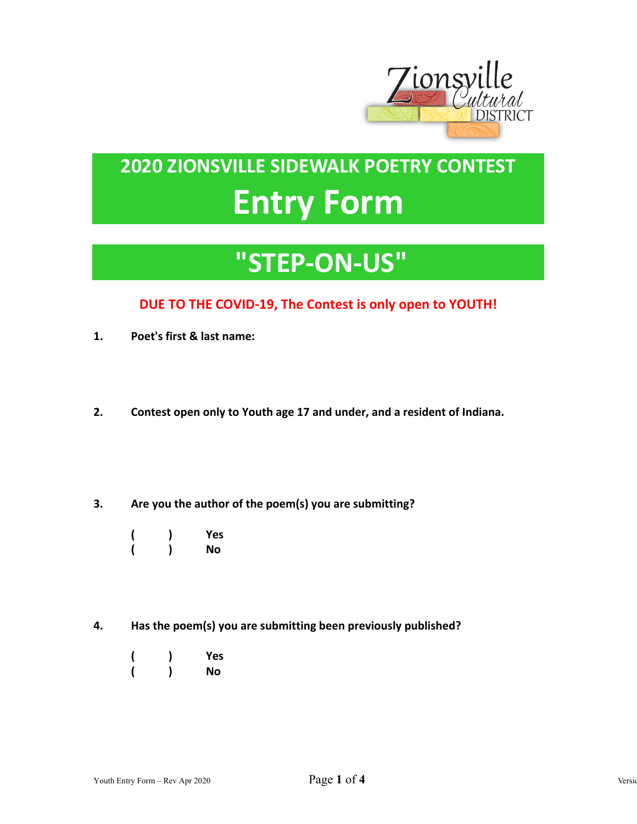

## **2020 ZIONSVILLE SIDEWALK POETRY CONTEST Entry Form**

## **"STEP-ON-US"**

## **DUE TO THE COVID-19, The Contest is only open to YOUTH!**

- **1. Poet's first & last name:**
- **2. Contest open only to Youth age 17 and under, and a resident of Indiana.**
- **3. Are you the author of the poem(s) you are submitting?**
- **( ) Yes ( ) No**
- **4. Has the poem(s) you are submitting been previously published?** 
	- **( ) Yes ( ) No**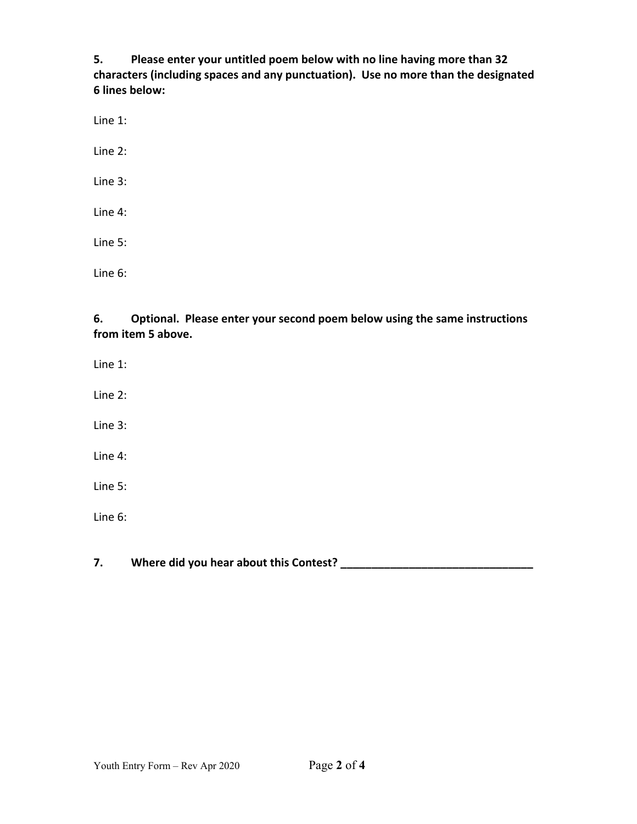**5. Please enter your untitled poem below with no line having more than 32 characters (including spaces and any punctuation). Use no more than the designated 6 lines below:** 

Line 1:

Line 2:

Line 3:

Line 4:

Line 5:

Line 6:

**6. Optional. Please enter your second poem below using the same instructions from item 5 above.** 

Line 1:

Line 2:

Line 3:

Line 4:

Line 5:

Line 6:

**7. Where did you hear about this Contest? \_\_\_\_\_\_\_\_\_\_\_\_\_\_\_\_\_\_\_\_\_\_\_\_\_\_\_\_\_\_\_**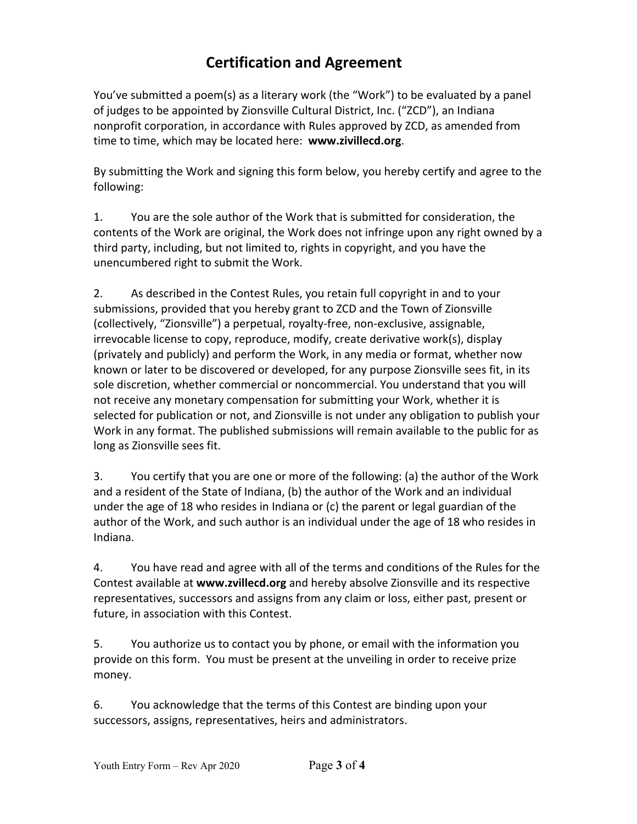## **Certification and Agreement**

You've submitted a poem(s) as a literary work (the "Work") to be evaluated by a panel of judges to be appointed by Zionsville Cultural District, Inc. ("ZCD"), an Indiana nonprofit corporation, in accordance with Rules approved by ZCD, as amended from time to time, which may be located here: **www.zivillecd.org**.

By submitting the Work and signing this form below, you hereby certify and agree to the following:

1. You are the sole author of the Work that is submitted for consideration, the contents of the Work are original, the Work does not infringe upon any right owned by a third party, including, but not limited to, rights in copyright, and you have the unencumbered right to submit the Work.

2. As described in the Contest Rules, you retain full copyright in and to your submissions, provided that you hereby grant to ZCD and the Town of Zionsville (collectively, "Zionsville") a perpetual, royalty-free, non-exclusive, assignable, irrevocable license to copy, reproduce, modify, create derivative work(s), display (privately and publicly) and perform the Work, in any media or format, whether now known or later to be discovered or developed, for any purpose Zionsville sees fit, in its sole discretion, whether commercial or noncommercial. You understand that you will not receive any monetary compensation for submitting your Work, whether it is selected for publication or not, and Zionsville is not under any obligation to publish your Work in any format. The published submissions will remain available to the public for as long as Zionsville sees fit.

3. You certify that you are one or more of the following: (a) the author of the Work and a resident of the State of Indiana, (b) the author of the Work and an individual under the age of 18 who resides in Indiana or (c) the parent or legal guardian of the author of the Work, and such author is an individual under the age of 18 who resides in Indiana.

4. You have read and agree with all of the terms and conditions of the Rules for the Contest available at **www.zvillecd.org** and hereby absolve Zionsville and its respective representatives, successors and assigns from any claim or loss, either past, present or future, in association with this Contest.

5. You authorize us to contact you by phone, or email with the information you provide on this form. You must be present at the unveiling in order to receive prize money.

6. You acknowledge that the terms of this Contest are binding upon your successors, assigns, representatives, heirs and administrators.